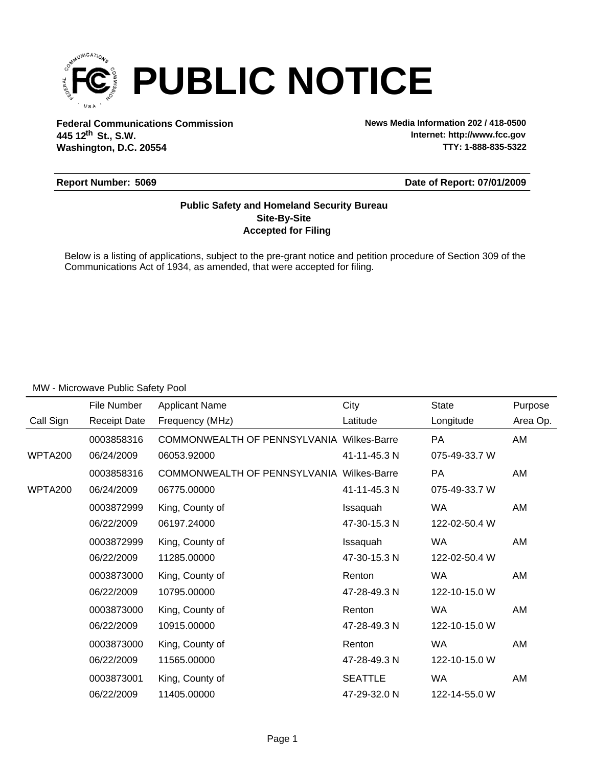

**Federal Communications Commission News Media Information 202 / 418-0500 Washington, D.C. 20554 th 445 12 St., S.W.**

**Internet: http://www.fcc.gov TTY: 1-888-835-5322**

#### **Report Number: 5069**

**Date of Report: 07/01/2009**

### **Accepted for Filing Site-By-Site Public Safety and Homeland Security Bureau**

Below is a listing of applications, subject to the pre-grant notice and petition procedure of Section 309 of the Communications Act of 1934, as amended, that were accepted for filing.

|           | File Number         | <b>Applicant Name</b>                            | City           | <b>State</b>  | Purpose  |
|-----------|---------------------|--------------------------------------------------|----------------|---------------|----------|
| Call Sign | <b>Receipt Date</b> | Frequency (MHz)                                  | Latitude       | Longitude     | Area Op. |
|           | 0003858316          | COMMONWEALTH OF PENNSYLVANIA Wilkes-Barre        |                | <b>PA</b>     | AM       |
| WPTA200   | 06/24/2009          | 06053.92000                                      | 41-11-45.3 N   | 075-49-33.7 W |          |
|           | 0003858316          | <b>COMMONWEALTH OF PENNSYLVANIA Wilkes-Barre</b> |                | <b>PA</b>     | AM       |
| WPTA200   | 06/24/2009          | 06775.00000                                      | 41-11-45.3 N   | 075-49-33.7 W |          |
|           | 0003872999          | King, County of                                  | Issaquah       | WA            | AM       |
|           | 06/22/2009          | 06197.24000                                      | 47-30-15.3 N   | 122-02-50.4 W |          |
|           | 0003872999          | King, County of                                  | Issaquah       | <b>WA</b>     | AM       |
|           | 06/22/2009          | 11285.00000                                      | 47-30-15.3 N   | 122-02-50.4 W |          |
|           | 0003873000          | King, County of                                  | Renton         | <b>WA</b>     | AM       |
|           | 06/22/2009          | 10795.00000                                      | 47-28-49.3 N   | 122-10-15.0 W |          |
|           | 0003873000          | King, County of                                  | Renton         | <b>WA</b>     | AM       |
|           | 06/22/2009          | 10915.00000                                      | 47-28-49.3 N   | 122-10-15.0 W |          |
|           | 0003873000          | King, County of                                  | Renton         | <b>WA</b>     | AM       |
|           | 06/22/2009          | 11565.00000                                      | 47-28-49.3 N   | 122-10-15.0 W |          |
|           | 0003873001          | King, County of                                  | <b>SEATTLE</b> | <b>WA</b>     | AM       |
|           | 06/22/2009          | 11405.00000                                      | 47-29-32.0 N   | 122-14-55.0 W |          |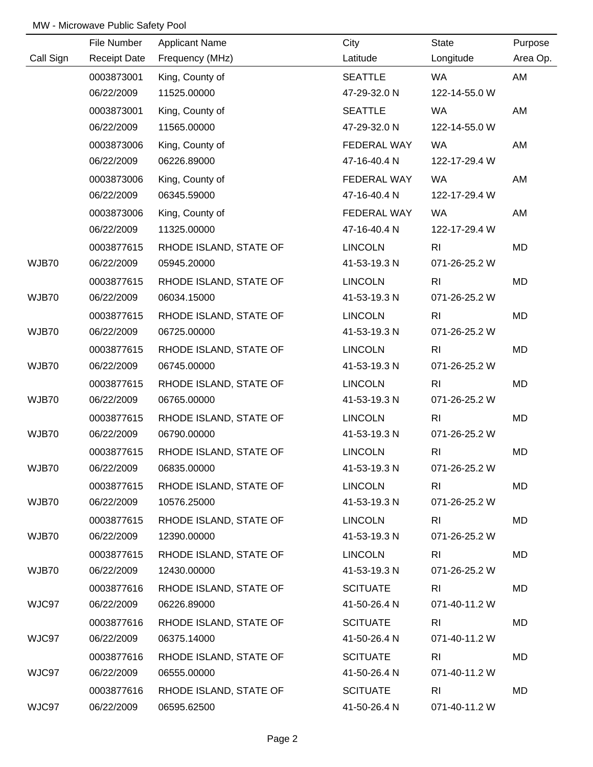|           | File Number         | <b>Applicant Name</b>  | City            | <b>State</b>   | Purpose  |
|-----------|---------------------|------------------------|-----------------|----------------|----------|
| Call Sign | <b>Receipt Date</b> | Frequency (MHz)        | Latitude        | Longitude      | Area Op. |
|           | 0003873001          | King, County of        | <b>SEATTLE</b>  | <b>WA</b>      | AM       |
|           | 06/22/2009          | 11525.00000            | 47-29-32.0 N    | 122-14-55.0 W  |          |
|           | 0003873001          | King, County of        | <b>SEATTLE</b>  | <b>WA</b>      | AM       |
|           | 06/22/2009          | 11565.00000            | 47-29-32.0 N    | 122-14-55.0 W  |          |
|           | 0003873006          | King, County of        | FEDERAL WAY     | <b>WA</b>      | AM       |
|           | 06/22/2009          | 06226.89000            | 47-16-40.4 N    | 122-17-29.4 W  |          |
|           | 0003873006          | King, County of        | FEDERAL WAY     | <b>WA</b>      | AM       |
|           | 06/22/2009          | 06345.59000            | 47-16-40.4 N    | 122-17-29.4 W  |          |
|           | 0003873006          | King, County of        | FEDERAL WAY     | <b>WA</b>      | AM       |
|           | 06/22/2009          | 11325.00000            | 47-16-40.4 N    | 122-17-29.4 W  |          |
|           | 0003877615          | RHODE ISLAND, STATE OF | <b>LINCOLN</b>  | R <sub>l</sub> | MD       |
| WJB70     | 06/22/2009          | 05945.20000            | 41-53-19.3 N    | 071-26-25.2 W  |          |
|           | 0003877615          | RHODE ISLAND, STATE OF | <b>LINCOLN</b>  | R <sub>l</sub> | MD       |
| WJB70     | 06/22/2009          | 06034.15000            | 41-53-19.3 N    | 071-26-25.2 W  |          |
|           | 0003877615          | RHODE ISLAND, STATE OF | <b>LINCOLN</b>  | R <sub>l</sub> | MD       |
| WJB70     | 06/22/2009          | 06725.00000            | 41-53-19.3 N    | 071-26-25.2 W  |          |
|           | 0003877615          | RHODE ISLAND, STATE OF | <b>LINCOLN</b>  | R <sub>l</sub> | MD       |
| WJB70     | 06/22/2009          | 06745.00000            | 41-53-19.3 N    | 071-26-25.2 W  |          |
|           | 0003877615          | RHODE ISLAND, STATE OF | <b>LINCOLN</b>  | R <sub>l</sub> | MD       |
| WJB70     | 06/22/2009          | 06765.00000            | 41-53-19.3 N    | 071-26-25.2 W  |          |
|           | 0003877615          | RHODE ISLAND, STATE OF | <b>LINCOLN</b>  | R <sub>l</sub> | MD       |
| WJB70     | 06/22/2009          | 06790.00000            | 41-53-19.3 N    | 071-26-25.2 W  |          |
|           | 0003877615          | RHODE ISLAND, STATE OF | <b>LINCOLN</b>  | R <sub>l</sub> | MD       |
| WJB70     | 06/22/2009          | 06835.00000            | 41-53-19.3 N    | 071-26-25.2 W  |          |
|           | 0003877615          | RHODE ISLAND, STATE OF | <b>LINCOLN</b>  | R <sub>l</sub> | MD       |
| WJB70     | 06/22/2009          | 10576.25000            | 41-53-19.3 N    | 071-26-25.2 W  |          |
|           | 0003877615          | RHODE ISLAND, STATE OF | <b>LINCOLN</b>  | <b>RI</b>      | MD       |
| WJB70     | 06/22/2009          | 12390.00000            | 41-53-19.3 N    | 071-26-25.2 W  |          |
|           | 0003877615          | RHODE ISLAND, STATE OF | <b>LINCOLN</b>  | R <sub>l</sub> | MD       |
| WJB70     | 06/22/2009          | 12430.00000            | 41-53-19.3 N    | 071-26-25.2 W  |          |
|           | 0003877616          | RHODE ISLAND, STATE OF | <b>SCITUATE</b> | R <sub>l</sub> | MD       |
| WJC97     | 06/22/2009          | 06226.89000            | 41-50-26.4 N    | 071-40-11.2 W  |          |
|           | 0003877616          | RHODE ISLAND, STATE OF | <b>SCITUATE</b> | R <sub>l</sub> | MD       |
| WJC97     | 06/22/2009          | 06375.14000            | 41-50-26.4 N    | 071-40-11.2 W  |          |
|           | 0003877616          | RHODE ISLAND, STATE OF | <b>SCITUATE</b> | R <sub>l</sub> | MD       |
| WJC97     | 06/22/2009          | 06555.00000            | 41-50-26.4 N    | 071-40-11.2 W  |          |
|           | 0003877616          | RHODE ISLAND, STATE OF | <b>SCITUATE</b> | R <sub>l</sub> | MD       |
| WJC97     | 06/22/2009          | 06595.62500            | 41-50-26.4 N    | 071-40-11.2 W  |          |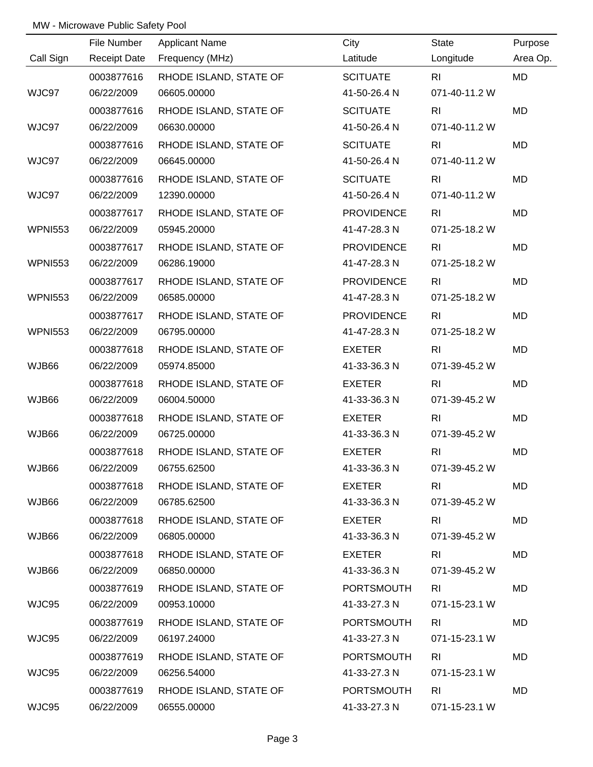|                | File Number         | <b>Applicant Name</b>  | City              | State          | Purpose   |
|----------------|---------------------|------------------------|-------------------|----------------|-----------|
| Call Sign      | <b>Receipt Date</b> | Frequency (MHz)        | Latitude          | Longitude      | Area Op.  |
|                | 0003877616          | RHODE ISLAND, STATE OF | <b>SCITUATE</b>   | R <sub>l</sub> | <b>MD</b> |
| WJC97          | 06/22/2009          | 06605.00000            | 41-50-26.4 N      | 071-40-11.2 W  |           |
|                | 0003877616          | RHODE ISLAND, STATE OF | <b>SCITUATE</b>   | R <sub>l</sub> | <b>MD</b> |
| WJC97          | 06/22/2009          | 06630.00000            | 41-50-26.4 N      | 071-40-11.2 W  |           |
|                | 0003877616          | RHODE ISLAND, STATE OF | <b>SCITUATE</b>   | R <sub>l</sub> | MD        |
| WJC97          | 06/22/2009          | 06645.00000            | 41-50-26.4 N      | 071-40-11.2 W  |           |
|                | 0003877616          | RHODE ISLAND, STATE OF | <b>SCITUATE</b>   | R <sub>l</sub> | MD        |
| WJC97          | 06/22/2009          | 12390.00000            | 41-50-26.4 N      | 071-40-11.2 W  |           |
|                | 0003877617          | RHODE ISLAND, STATE OF | <b>PROVIDENCE</b> | R <sub>l</sub> | MD        |
| <b>WPNI553</b> | 06/22/2009          | 05945.20000            | 41-47-28.3 N      | 071-25-18.2 W  |           |
|                | 0003877617          | RHODE ISLAND, STATE OF | <b>PROVIDENCE</b> | R <sub>l</sub> | MD        |
| <b>WPNI553</b> | 06/22/2009          | 06286.19000            | 41-47-28.3 N      | 071-25-18.2 W  |           |
|                | 0003877617          | RHODE ISLAND, STATE OF | <b>PROVIDENCE</b> | R <sub>l</sub> | MD        |
| <b>WPNI553</b> | 06/22/2009          | 06585.00000            | 41-47-28.3 N      | 071-25-18.2 W  |           |
|                | 0003877617          | RHODE ISLAND, STATE OF | <b>PROVIDENCE</b> | R <sub>l</sub> | MD        |
| <b>WPNI553</b> | 06/22/2009          | 06795.00000            | 41-47-28.3 N      | 071-25-18.2 W  |           |
|                | 0003877618          | RHODE ISLAND, STATE OF | <b>EXETER</b>     | R <sub>l</sub> | MD        |
| WJB66          | 06/22/2009          | 05974.85000            | 41-33-36.3 N      | 071-39-45.2 W  |           |
|                | 0003877618          | RHODE ISLAND, STATE OF | <b>EXETER</b>     | R <sub>l</sub> | MD        |
| WJB66          | 06/22/2009          | 06004.50000            | 41-33-36.3 N      | 071-39-45.2 W  |           |
|                | 0003877618          | RHODE ISLAND, STATE OF | <b>EXETER</b>     | R <sub>l</sub> | MD        |
| WJB66          | 06/22/2009          | 06725.00000            | 41-33-36.3 N      | 071-39-45.2 W  |           |
|                | 0003877618          | RHODE ISLAND, STATE OF | <b>EXETER</b>     | R <sub>l</sub> | MD        |
| WJB66          | 06/22/2009          | 06755.62500            | 41-33-36.3 N      | 071-39-45.2 W  |           |
|                | 0003877618          | RHODE ISLAND, STATE OF | EXETER            | R <sub>l</sub> | MD        |
| WJB66          | 06/22/2009          | 06785.62500            | 41-33-36.3 N      | 071-39-45.2 W  |           |
|                | 0003877618          | RHODE ISLAND, STATE OF | EXETER            | R <sub>l</sub> | MD        |
| WJB66          | 06/22/2009          | 06805.00000            | 41-33-36.3 N      | 071-39-45.2 W  |           |
|                | 0003877618          | RHODE ISLAND, STATE OF | EXETER            | R <sub>l</sub> | MD        |
| WJB66          | 06/22/2009          | 06850.00000            | 41-33-36.3 N      | 071-39-45.2 W  |           |
|                | 0003877619          | RHODE ISLAND, STATE OF | PORTSMOUTH        | R <sub>l</sub> | MD        |
| WJC95          | 06/22/2009          | 00953.10000            | 41-33-27.3 N      | 071-15-23.1 W  |           |
|                | 0003877619          | RHODE ISLAND, STATE OF | <b>PORTSMOUTH</b> | <b>RI</b>      | MD        |
| WJC95          | 06/22/2009          | 06197.24000            | 41-33-27.3 N      | 071-15-23.1 W  |           |
|                | 0003877619          | RHODE ISLAND, STATE OF | PORTSMOUTH        | R <sub>l</sub> | MD        |
| WJC95          | 06/22/2009          | 06256.54000            | 41-33-27.3 N      | 071-15-23.1 W  |           |
|                | 0003877619          | RHODE ISLAND, STATE OF | <b>PORTSMOUTH</b> | <b>RI</b>      | MD        |
| WJC95          | 06/22/2009          | 06555.00000            | 41-33-27.3 N      | 071-15-23.1 W  |           |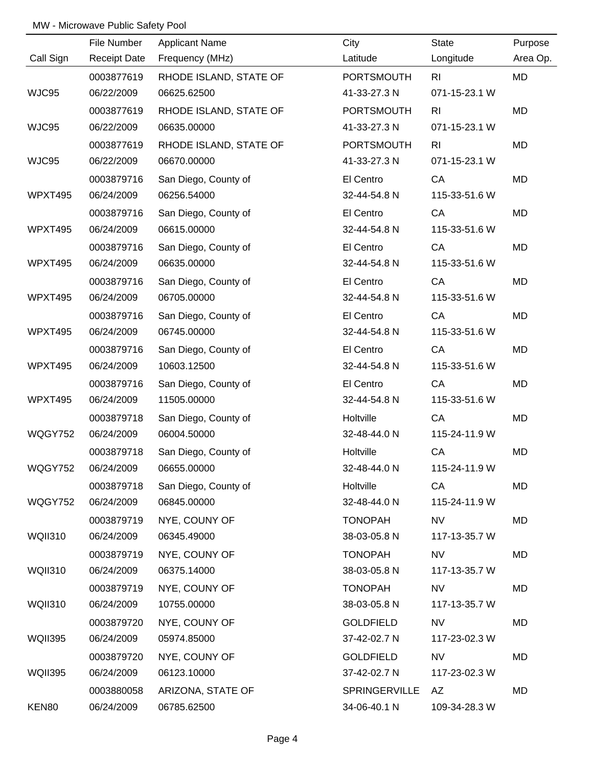|                | File Number         | <b>Applicant Name</b>  | City              | State          | Purpose  |
|----------------|---------------------|------------------------|-------------------|----------------|----------|
| Call Sign      | <b>Receipt Date</b> | Frequency (MHz)        | Latitude          | Longitude      | Area Op. |
|                | 0003877619          | RHODE ISLAND, STATE OF | <b>PORTSMOUTH</b> | R <sub>l</sub> | MD       |
| WJC95          | 06/22/2009          | 06625.62500            | 41-33-27.3 N      | 071-15-23.1 W  |          |
|                | 0003877619          | RHODE ISLAND, STATE OF | <b>PORTSMOUTH</b> | R <sub>l</sub> | MD       |
| WJC95          | 06/22/2009          | 06635.00000            | 41-33-27.3 N      | 071-15-23.1 W  |          |
|                | 0003877619          | RHODE ISLAND, STATE OF | <b>PORTSMOUTH</b> | R <sub>l</sub> | MD       |
| WJC95          | 06/22/2009          | 06670.00000            | 41-33-27.3 N      | 071-15-23.1 W  |          |
|                | 0003879716          | San Diego, County of   | El Centro         | CA             | MD       |
| WPXT495        | 06/24/2009          | 06256.54000            | 32-44-54.8 N      | 115-33-51.6 W  |          |
|                | 0003879716          | San Diego, County of   | El Centro         | CA             | MD       |
| WPXT495        | 06/24/2009          | 06615.00000            | 32-44-54.8 N      | 115-33-51.6 W  |          |
|                | 0003879716          | San Diego, County of   | El Centro         | CA             | MD       |
| WPXT495        | 06/24/2009          | 06635.00000            | 32-44-54.8 N      | 115-33-51.6 W  |          |
|                | 0003879716          | San Diego, County of   | El Centro         | CA             | MD       |
| WPXT495        | 06/24/2009          | 06705.00000            | 32-44-54.8 N      | 115-33-51.6 W  |          |
|                | 0003879716          | San Diego, County of   | El Centro         | CA             | MD       |
| WPXT495        | 06/24/2009          | 06745.00000            | 32-44-54.8 N      | 115-33-51.6 W  |          |
|                | 0003879716          | San Diego, County of   | El Centro         | CA             | MD       |
| WPXT495        | 06/24/2009          | 10603.12500            | 32-44-54.8 N      | 115-33-51.6 W  |          |
|                | 0003879716          | San Diego, County of   | El Centro         | CA             | MD       |
| WPXT495        | 06/24/2009          | 11505.00000            | 32-44-54.8 N      | 115-33-51.6 W  |          |
|                | 0003879718          | San Diego, County of   | Holtville         | CA             | MD       |
| WQGY752        | 06/24/2009          | 06004.50000            | 32-48-44.0 N      | 115-24-11.9 W  |          |
|                | 0003879718          | San Diego, County of   | Holtville         | CA             | MD       |
| WQGY752        | 06/24/2009          | 06655.00000            | 32-48-44.0 N      | 115-24-11.9 W  |          |
|                | 0003879718          | San Diego, County of   | Holtville         | CA             | MD       |
| WQGY752        | 06/24/2009          | 06845.00000            | 32-48-44.0 N      | 115-24-11.9 W  |          |
|                | 0003879719          | NYE, COUNY OF          | <b>TONOPAH</b>    | <b>NV</b>      | MD       |
| <b>WQII310</b> | 06/24/2009          | 06345.49000            | 38-03-05.8 N      | 117-13-35.7 W  |          |
|                | 0003879719          | NYE, COUNY OF          | <b>TONOPAH</b>    | <b>NV</b>      | MD       |
| <b>WQII310</b> | 06/24/2009          | 06375.14000            | 38-03-05.8 N      | 117-13-35.7 W  |          |
|                | 0003879719          | NYE, COUNY OF          | <b>TONOPAH</b>    | <b>NV</b>      | MD       |
| <b>WQII310</b> | 06/24/2009          | 10755.00000            | 38-03-05.8 N      | 117-13-35.7 W  |          |
|                | 0003879720          | NYE, COUNY OF          | <b>GOLDFIELD</b>  | <b>NV</b>      | MD       |
| <b>WQII395</b> | 06/24/2009          | 05974.85000            | 37-42-02.7 N      | 117-23-02.3 W  |          |
|                | 0003879720          | NYE, COUNY OF          | <b>GOLDFIELD</b>  | <b>NV</b>      | MD       |
| <b>WQII395</b> | 06/24/2009          | 06123.10000            | 37-42-02.7 N      | 117-23-02.3 W  |          |
|                | 0003880058          | ARIZONA, STATE OF      | SPRINGERVILLE     | AZ             | MD       |
| KEN80          | 06/24/2009          | 06785.62500            | 34-06-40.1 N      | 109-34-28.3 W  |          |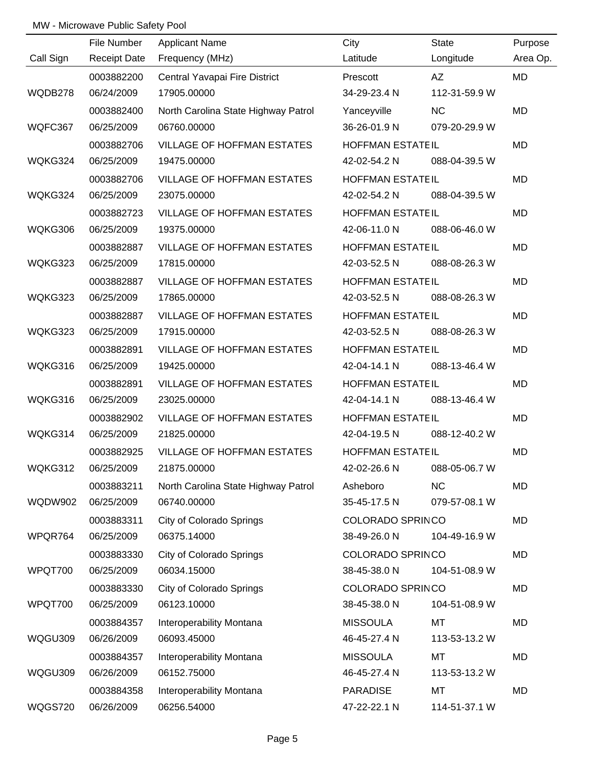|                | File Number         | <b>Applicant Name</b>               | City                    | State         | Purpose   |
|----------------|---------------------|-------------------------------------|-------------------------|---------------|-----------|
| Call Sign      | <b>Receipt Date</b> | Frequency (MHz)                     | Latitude                | Longitude     | Area Op.  |
|                | 0003882200          | Central Yavapai Fire District       | Prescott                | AZ            | <b>MD</b> |
| WQDB278        | 06/24/2009          | 17905.00000                         | 34-29-23.4 N            | 112-31-59.9 W |           |
|                | 0003882400          | North Carolina State Highway Patrol | Yanceyville             | <b>NC</b>     | <b>MD</b> |
| WQFC367        | 06/25/2009          | 06760.00000                         | 36-26-01.9 N            | 079-20-29.9 W |           |
|                | 0003882706          | <b>VILLAGE OF HOFFMAN ESTATES</b>   | <b>HOFFMAN ESTATEIL</b> |               | MD        |
| WQKG324        | 06/25/2009          | 19475.00000                         | 42-02-54.2 N            | 088-04-39.5 W |           |
|                | 0003882706          | <b>VILLAGE OF HOFFMAN ESTATES</b>   | <b>HOFFMAN ESTATEIL</b> |               | <b>MD</b> |
| WQKG324        | 06/25/2009          | 23075.00000                         | 42-02-54.2 N            | 088-04-39.5 W |           |
|                | 0003882723          | <b>VILLAGE OF HOFFMAN ESTATES</b>   | <b>HOFFMAN ESTATEIL</b> |               | <b>MD</b> |
| WQKG306        | 06/25/2009          | 19375.00000                         | 42-06-11.0 N            | 088-06-46.0 W |           |
|                | 0003882887          | <b>VILLAGE OF HOFFMAN ESTATES</b>   | <b>HOFFMAN ESTATEIL</b> |               | <b>MD</b> |
| WQKG323        | 06/25/2009          | 17815.00000                         | 42-03-52.5 N            | 088-08-26.3 W |           |
|                | 0003882887          | VILLAGE OF HOFFMAN ESTATES          | <b>HOFFMAN ESTATEIL</b> |               | <b>MD</b> |
| WQKG323        | 06/25/2009          | 17865.00000                         | 42-03-52.5 N            | 088-08-26.3 W |           |
|                | 0003882887          | <b>VILLAGE OF HOFFMAN ESTATES</b>   | <b>HOFFMAN ESTATEIL</b> |               | <b>MD</b> |
| WQKG323        | 06/25/2009          | 17915.00000                         | 42-03-52.5 N            | 088-08-26.3 W |           |
|                | 0003882891          | <b>VILLAGE OF HOFFMAN ESTATES</b>   | <b>HOFFMAN ESTATEIL</b> |               | <b>MD</b> |
| WQKG316        | 06/25/2009          | 19425.00000                         | 42-04-14.1 N            | 088-13-46.4 W |           |
|                | 0003882891          | VILLAGE OF HOFFMAN ESTATES          | HOFFMAN ESTATEIL        |               | <b>MD</b> |
| WQKG316        | 06/25/2009          | 23025.00000                         | 42-04-14.1 N            | 088-13-46.4 W |           |
|                | 0003882902          | <b>VILLAGE OF HOFFMAN ESTATES</b>   | <b>HOFFMAN ESTATEIL</b> |               | <b>MD</b> |
| WQKG314        | 06/25/2009          | 21825.00000                         | 42-04-19.5 N            | 088-12-40.2 W |           |
|                | 0003882925          | <b>VILLAGE OF HOFFMAN ESTATES</b>   | HOFFMAN ESTATEIL        |               | MD        |
| WQKG312        | 06/25/2009          | 21875.00000                         | 42-02-26.6 N            | 088-05-06.7 W |           |
|                | 0003883211          | North Carolina State Highway Patrol | Asheboro                | <b>NC</b>     | MD        |
| <b>WQDW902</b> | 06/25/2009          | 06740.00000                         | 35-45-17.5 N            | 079-57-08.1 W |           |
|                | 0003883311          | City of Colorado Springs            | <b>COLORADO SPRINCO</b> |               | MD        |
| WPQR764        | 06/25/2009          | 06375.14000                         | 38-49-26.0 N            | 104-49-16.9 W |           |
|                | 0003883330          | City of Colorado Springs            | <b>COLORADO SPRINCO</b> |               | MD        |
| WPQT700        | 06/25/2009          | 06034.15000                         | 38-45-38.0 N            | 104-51-08.9 W |           |
|                | 0003883330          | <b>City of Colorado Springs</b>     | <b>COLORADO SPRINCO</b> |               | MD        |
| WPQT700        | 06/25/2009          | 06123.10000                         | 38-45-38.0 N            | 104-51-08.9 W |           |
|                | 0003884357          | Interoperability Montana            | <b>MISSOULA</b>         | MT            | MD        |
| WQGU309        | 06/26/2009          | 06093.45000                         | 46-45-27.4 N            | 113-53-13.2 W |           |
|                | 0003884357          | Interoperability Montana            | <b>MISSOULA</b>         | MT            | MD        |
| WQGU309        | 06/26/2009          | 06152.75000                         | 46-45-27.4 N            | 113-53-13.2 W |           |
|                | 0003884358          | Interoperability Montana            | <b>PARADISE</b>         | <b>MT</b>     | MD        |
| <b>WQGS720</b> | 06/26/2009          | 06256.54000                         | 47-22-22.1 N            | 114-51-37.1 W |           |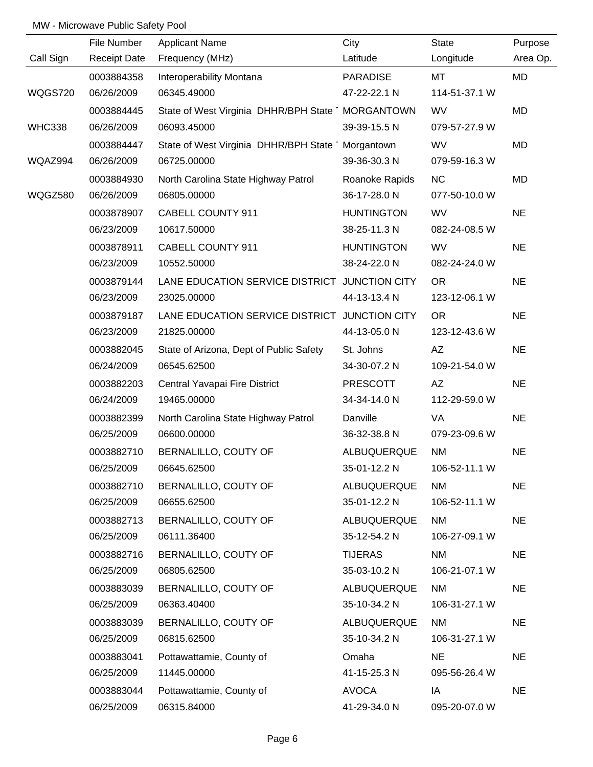|               | File Number         | <b>Applicant Name</b>                            | City              | <b>State</b>  | Purpose   |
|---------------|---------------------|--------------------------------------------------|-------------------|---------------|-----------|
| Call Sign     | <b>Receipt Date</b> | Frequency (MHz)                                  | Latitude          | Longitude     | Area Op.  |
|               | 0003884358          | Interoperability Montana                         | <b>PARADISE</b>   | MT            | MD        |
| WQGS720       | 06/26/2009          | 06345.49000                                      | 47-22-22.1 N      | 114-51-37.1 W |           |
|               | 0003884445          | State of West Virginia DHHR/BPH State MORGANTOWN |                   | <b>WV</b>     | MD        |
| <b>WHC338</b> | 06/26/2009          | 06093.45000                                      | 39-39-15.5 N      | 079-57-27.9 W |           |
|               | 0003884447          | State of West Virginia DHHR/BPH State Morgantown |                   | <b>WV</b>     | MD        |
| WQAZ994       | 06/26/2009          | 06725.00000                                      | 39-36-30.3 N      | 079-59-16.3 W |           |
|               | 0003884930          | North Carolina State Highway Patrol              | Roanoke Rapids    | <b>NC</b>     | MD        |
| WQGZ580       | 06/26/2009          | 06805.00000                                      | 36-17-28.0 N      | 077-50-10.0 W |           |
|               | 0003878907          | CABELL COUNTY 911                                | <b>HUNTINGTON</b> | <b>WV</b>     | <b>NE</b> |
|               | 06/23/2009          | 10617.50000                                      | 38-25-11.3 N      | 082-24-08.5 W |           |
|               | 0003878911          | CABELL COUNTY 911                                | <b>HUNTINGTON</b> | <b>WV</b>     | <b>NE</b> |
|               | 06/23/2009          | 10552.50000                                      | 38-24-22.0 N      | 082-24-24.0 W |           |
|               | 0003879144          | LANE EDUCATION SERVICE DISTRICT JUNCTION CITY    |                   | <b>OR</b>     | <b>NE</b> |
|               | 06/23/2009          | 23025.00000                                      | 44-13-13.4 N      | 123-12-06.1 W |           |
|               | 0003879187          | LANE EDUCATION SERVICE DISTRICT JUNCTION CITY    |                   | <b>OR</b>     | <b>NE</b> |
|               | 06/23/2009          | 21825.00000                                      | 44-13-05.0 N      | 123-12-43.6 W |           |
|               | 0003882045          | State of Arizona, Dept of Public Safety          | St. Johns         | AZ            | <b>NE</b> |
|               | 06/24/2009          | 06545.62500                                      | 34-30-07.2 N      | 109-21-54.0 W |           |
|               | 0003882203          | Central Yavapai Fire District                    | PRESCOTT          | AZ            | <b>NE</b> |
|               | 06/24/2009          | 19465.00000                                      | 34-34-14.0 N      | 112-29-59.0 W |           |
|               | 0003882399          | North Carolina State Highway Patrol              | Danville          | VA            | <b>NE</b> |
|               | 06/25/2009          | 06600.00000                                      | 36-32-38.8 N      | 079-23-09.6 W |           |
|               | 0003882710          | BERNALILLO, COUTY OF                             | ALBUQUERQUE       | <b>NM</b>     | <b>NE</b> |
|               | 06/25/2009          | 06645.62500                                      | 35-01-12.2 N      | 106-52-11.1 W |           |
|               | 0003882710          | BERNALILLO, COUTY OF                             | ALBUQUERQUE       | NM            | <b>NE</b> |
|               | 06/25/2009          | 06655.62500                                      | 35-01-12.2 N      | 106-52-11.1 W |           |
|               | 0003882713          | BERNALILLO, COUTY OF                             | ALBUQUERQUE       | NM            | <b>NE</b> |
|               | 06/25/2009          | 06111.36400                                      | 35-12-54.2 N      | 106-27-09.1 W |           |
|               | 0003882716          | BERNALILLO, COUTY OF                             | <b>TIJERAS</b>    | NM            | <b>NE</b> |
|               | 06/25/2009          | 06805.62500                                      | 35-03-10.2 N      | 106-21-07.1 W |           |
|               | 0003883039          | BERNALILLO, COUTY OF                             | ALBUQUERQUE       | NM            | <b>NE</b> |
|               | 06/25/2009          | 06363.40400                                      | 35-10-34.2 N      | 106-31-27.1 W |           |
|               | 0003883039          | BERNALILLO, COUTY OF                             | ALBUQUERQUE       | <b>NM</b>     | <b>NE</b> |
|               | 06/25/2009          | 06815.62500                                      | 35-10-34.2 N      | 106-31-27.1 W |           |
|               | 0003883041          | Pottawattamie, County of                         | Omaha             | <b>NE</b>     | <b>NE</b> |
|               | 06/25/2009          | 11445.00000                                      | 41-15-25.3 N      | 095-56-26.4 W |           |
|               | 0003883044          | Pottawattamie, County of                         | <b>AVOCA</b>      | IA            | <b>NE</b> |
|               | 06/25/2009          | 06315.84000                                      | 41-29-34.0 N      | 095-20-07.0 W |           |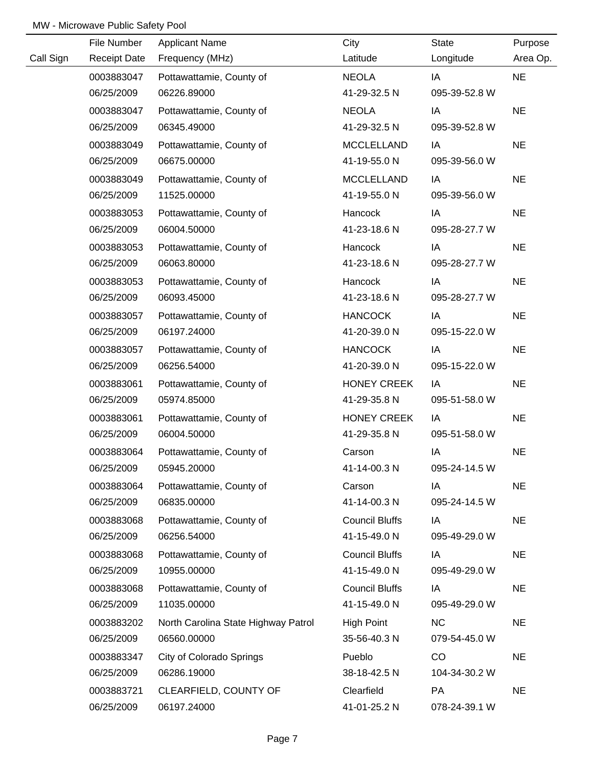|           | File Number         | <b>Applicant Name</b>               | City                  | <b>State</b>  | Purpose   |
|-----------|---------------------|-------------------------------------|-----------------------|---------------|-----------|
| Call Sign | <b>Receipt Date</b> | Frequency (MHz)                     | Latitude              | Longitude     | Area Op.  |
|           | 0003883047          | Pottawattamie, County of            | <b>NEOLA</b>          | IA            | <b>NE</b> |
|           | 06/25/2009          | 06226.89000                         | 41-29-32.5 N          | 095-39-52.8 W |           |
|           | 0003883047          | Pottawattamie, County of            | <b>NEOLA</b>          | IA            | <b>NE</b> |
|           | 06/25/2009          | 06345.49000                         | 41-29-32.5 N          | 095-39-52.8 W |           |
|           | 0003883049          | Pottawattamie, County of            | <b>MCCLELLAND</b>     | IA            | <b>NE</b> |
|           | 06/25/2009          | 06675.00000                         | 41-19-55.0 N          | 095-39-56.0 W |           |
|           | 0003883049          | Pottawattamie, County of            | <b>MCCLELLAND</b>     | IA            | <b>NE</b> |
|           | 06/25/2009          | 11525.00000                         | 41-19-55.0 N          | 095-39-56.0 W |           |
|           | 0003883053          | Pottawattamie, County of            | Hancock               | IA            | <b>NE</b> |
|           | 06/25/2009          | 06004.50000                         | 41-23-18.6 N          | 095-28-27.7 W |           |
|           | 0003883053          | Pottawattamie, County of            | Hancock               | IA            | <b>NE</b> |
|           | 06/25/2009          | 06063.80000                         | 41-23-18.6 N          | 095-28-27.7 W |           |
|           | 0003883053          | Pottawattamie, County of            | Hancock               | IA            | <b>NE</b> |
|           | 06/25/2009          | 06093.45000                         | 41-23-18.6 N          | 095-28-27.7 W |           |
|           | 0003883057          | Pottawattamie, County of            | <b>HANCOCK</b>        | IA            | <b>NE</b> |
|           | 06/25/2009          | 06197.24000                         | 41-20-39.0 N          | 095-15-22.0 W |           |
|           | 0003883057          | Pottawattamie, County of            | <b>HANCOCK</b>        | IA            | <b>NE</b> |
|           | 06/25/2009          | 06256.54000                         | 41-20-39.0 N          | 095-15-22.0 W |           |
|           | 0003883061          | Pottawattamie, County of            | <b>HONEY CREEK</b>    | IA            | <b>NE</b> |
|           | 06/25/2009          | 05974.85000                         | 41-29-35.8 N          | 095-51-58.0 W |           |
|           | 0003883061          | Pottawattamie, County of            | <b>HONEY CREEK</b>    | IA            | <b>NE</b> |
|           | 06/25/2009          | 06004.50000                         | 41-29-35.8 N          | 095-51-58.0 W |           |
|           | 0003883064          | Pottawattamie, County of            | Carson                | IA            | <b>NE</b> |
|           | 06/25/2009          | 05945.20000                         | 41-14-00.3 N          | 095-24-14.5 W |           |
|           | 0003883064          | Pottawattamie, County of            | Carson                | IA            | <b>NE</b> |
|           | 06/25/2009          | 06835.00000                         | 41-14-00.3 N          | 095-24-14.5 W |           |
|           | 0003883068          | Pottawattamie, County of            | <b>Council Bluffs</b> | IA            | <b>NE</b> |
|           | 06/25/2009          | 06256.54000                         | 41-15-49.0 N          | 095-49-29.0 W |           |
|           | 0003883068          | Pottawattamie, County of            | <b>Council Bluffs</b> | IA            | <b>NE</b> |
|           | 06/25/2009          | 10955.00000                         | 41-15-49.0 N          | 095-49-29.0 W |           |
|           | 0003883068          | Pottawattamie, County of            | <b>Council Bluffs</b> | IA            | <b>NE</b> |
|           | 06/25/2009          | 11035.00000                         | 41-15-49.0 N          | 095-49-29.0 W |           |
|           | 0003883202          | North Carolina State Highway Patrol | <b>High Point</b>     | <b>NC</b>     | <b>NE</b> |
|           | 06/25/2009          | 06560.00000                         | 35-56-40.3 N          | 079-54-45.0 W |           |
|           | 0003883347          | <b>City of Colorado Springs</b>     | Pueblo                | CO            | <b>NE</b> |
|           | 06/25/2009          | 06286.19000                         | 38-18-42.5 N          | 104-34-30.2 W |           |
|           | 0003883721          | CLEARFIELD, COUNTY OF               | Clearfield            | PA            | <b>NE</b> |
|           | 06/25/2009          | 06197.24000                         | 41-01-25.2 N          | 078-24-39.1 W |           |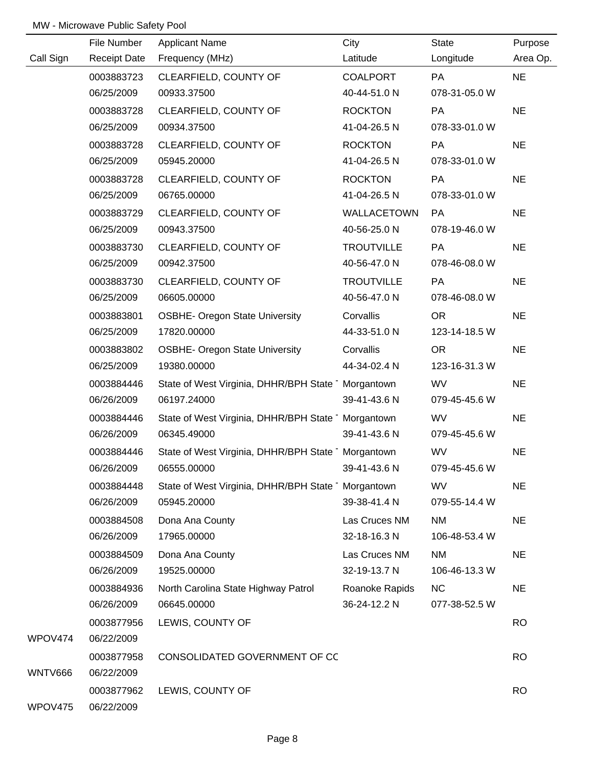|           | File Number         | <b>Applicant Name</b>                             | City              | State         | Purpose   |
|-----------|---------------------|---------------------------------------------------|-------------------|---------------|-----------|
| Call Sign | <b>Receipt Date</b> | Frequency (MHz)                                   | Latitude          | Longitude     | Area Op.  |
|           | 0003883723          | CLEARFIELD, COUNTY OF                             | <b>COALPORT</b>   | <b>PA</b>     | <b>NE</b> |
|           | 06/25/2009          | 00933.37500                                       | 40-44-51.0 N      | 078-31-05.0 W |           |
|           | 0003883728          | CLEARFIELD, COUNTY OF                             | <b>ROCKTON</b>    | PA            | <b>NE</b> |
|           | 06/25/2009          | 00934.37500                                       | 41-04-26.5 N      | 078-33-01.0 W |           |
|           | 0003883728          | CLEARFIELD, COUNTY OF                             | <b>ROCKTON</b>    | PA            | <b>NE</b> |
|           | 06/25/2009          | 05945.20000                                       | 41-04-26.5 N      | 078-33-01.0 W |           |
|           | 0003883728          | CLEARFIELD, COUNTY OF                             | <b>ROCKTON</b>    | PA            | <b>NE</b> |
|           | 06/25/2009          | 06765.00000                                       | 41-04-26.5 N      | 078-33-01.0 W |           |
|           | 0003883729          | CLEARFIELD, COUNTY OF                             | WALLACETOWN       | PA            | <b>NE</b> |
|           | 06/25/2009          | 00943.37500                                       | 40-56-25.0 N      | 078-19-46.0 W |           |
|           | 0003883730          | CLEARFIELD, COUNTY OF                             | <b>TROUTVILLE</b> | PA            | <b>NE</b> |
|           | 06/25/2009          | 00942.37500                                       | 40-56-47.0 N      | 078-46-08.0 W |           |
|           | 0003883730          | CLEARFIELD, COUNTY OF                             | <b>TROUTVILLE</b> | <b>PA</b>     | <b>NE</b> |
|           | 06/25/2009          | 06605.00000                                       | 40-56-47.0 N      | 078-46-08.0 W |           |
|           | 0003883801          | <b>OSBHE- Oregon State University</b>             | Corvallis         | <b>OR</b>     | <b>NE</b> |
|           | 06/25/2009          | 17820.00000                                       | 44-33-51.0 N      | 123-14-18.5 W |           |
|           | 0003883802          | <b>OSBHE- Oregon State University</b>             | Corvallis         | <b>OR</b>     | <b>NE</b> |
|           | 06/25/2009          | 19380.00000                                       | 44-34-02.4 N      | 123-16-31.3 W |           |
|           | 0003884446          | State of West Virginia, DHHR/BPH State Morgantown |                   | <b>WV</b>     | <b>NE</b> |
|           | 06/26/2009          | 06197.24000                                       | 39-41-43.6 N      | 079-45-45.6 W |           |
|           | 0003884446          | State of West Virginia, DHHR/BPH State Morgantown |                   | WV            | <b>NE</b> |
|           | 06/26/2009          | 06345.49000                                       | 39-41-43.6 N      | 079-45-45.6 W |           |
|           | 0003884446          | State of West Virginia, DHHR/BPH State Morgantown |                   | WV            | <b>NE</b> |
|           | 06/26/2009          | 06555.00000                                       | 39-41-43.6 N      | 079-45-45.6 W |           |
|           | 0003884448          | State of West Virginia, DHHR/BPH State Morgantown |                   | <b>WV</b>     | <b>NE</b> |
|           | 06/26/2009          | 05945.20000                                       | 39-38-41.4 N      | 079-55-14.4 W |           |
|           | 0003884508          | Dona Ana County                                   | Las Cruces NM     | <b>NM</b>     | <b>NE</b> |
|           | 06/26/2009          | 17965.00000                                       | 32-18-16.3 N      | 106-48-53.4 W |           |
|           | 0003884509          | Dona Ana County                                   | Las Cruces NM     | <b>NM</b>     | <b>NE</b> |
|           | 06/26/2009          | 19525.00000                                       | 32-19-13.7 N      | 106-46-13.3 W |           |
|           | 0003884936          | North Carolina State Highway Patrol               | Roanoke Rapids    | <b>NC</b>     | <b>NE</b> |
|           | 06/26/2009          | 06645.00000                                       | 36-24-12.2 N      | 077-38-52.5 W |           |
|           | 0003877956          | LEWIS, COUNTY OF                                  |                   |               | <b>RO</b> |
| WPOV474   | 06/22/2009          |                                                   |                   |               |           |
|           | 0003877958          | CONSOLIDATED GOVERNMENT OF CC                     |                   |               | <b>RO</b> |
| WNTV666   | 06/22/2009          |                                                   |                   |               |           |
|           | 0003877962          | LEWIS, COUNTY OF                                  |                   |               | <b>RO</b> |
| WPOV475   | 06/22/2009          |                                                   |                   |               |           |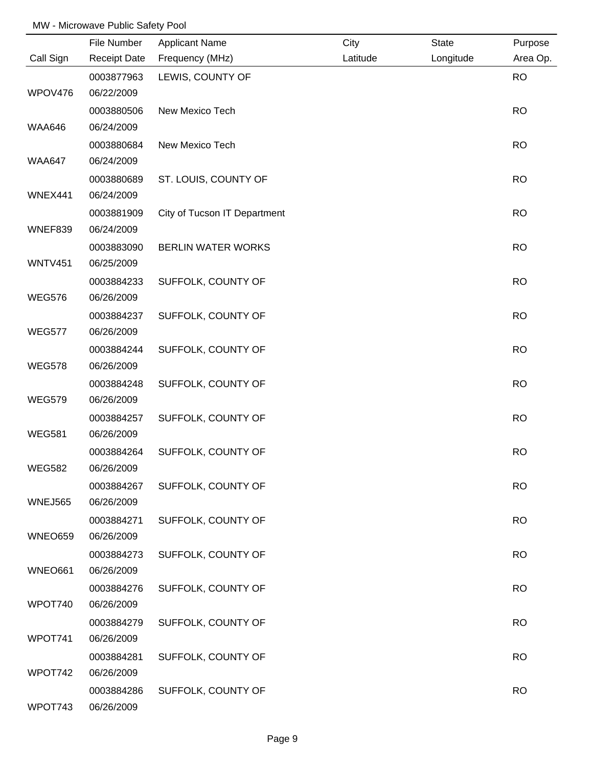|                | File Number         | <b>Applicant Name</b>        | City     | <b>State</b> | Purpose   |
|----------------|---------------------|------------------------------|----------|--------------|-----------|
| Call Sign      | <b>Receipt Date</b> | Frequency (MHz)              | Latitude | Longitude    | Area Op.  |
|                | 0003877963          | LEWIS, COUNTY OF             |          |              | <b>RO</b> |
| WPOV476        | 06/22/2009          |                              |          |              |           |
|                | 0003880506          | New Mexico Tech              |          |              | <b>RO</b> |
| <b>WAA646</b>  | 06/24/2009          |                              |          |              |           |
|                | 0003880684          | New Mexico Tech              |          |              | <b>RO</b> |
| <b>WAA647</b>  | 06/24/2009          |                              |          |              |           |
|                | 0003880689          | ST. LOUIS, COUNTY OF         |          |              | <b>RO</b> |
| WNEX441        | 06/24/2009          |                              |          |              |           |
|                | 0003881909          | City of Tucson IT Department |          |              | <b>RO</b> |
| WNEF839        | 06/24/2009          |                              |          |              |           |
|                | 0003883090          | BERLIN WATER WORKS           |          |              | <b>RO</b> |
| <b>WNTV451</b> | 06/25/2009          |                              |          |              |           |
|                | 0003884233          | SUFFOLK, COUNTY OF           |          |              | <b>RO</b> |
| <b>WEG576</b>  | 06/26/2009          |                              |          |              |           |
|                | 0003884237          | SUFFOLK, COUNTY OF           |          |              | <b>RO</b> |
| <b>WEG577</b>  | 06/26/2009          |                              |          |              |           |
|                | 0003884244          | SUFFOLK, COUNTY OF           |          |              | <b>RO</b> |
| <b>WEG578</b>  | 06/26/2009          |                              |          |              |           |
|                | 0003884248          | SUFFOLK, COUNTY OF           |          |              | <b>RO</b> |
| <b>WEG579</b>  | 06/26/2009          |                              |          |              |           |
|                | 0003884257          | SUFFOLK, COUNTY OF           |          |              | <b>RO</b> |
| <b>WEG581</b>  | 06/26/2009          |                              |          |              |           |
|                | 0003884264          | SUFFOLK, COUNTY OF           |          |              | <b>RO</b> |
| <b>WEG582</b>  | 06/26/2009          |                              |          |              |           |
|                | 0003884267          | SUFFOLK, COUNTY OF           |          |              | <b>RO</b> |
| <b>WNEJ565</b> | 06/26/2009          |                              |          |              |           |
|                | 0003884271          | SUFFOLK, COUNTY OF           |          |              | <b>RO</b> |
| WNEO659        | 06/26/2009          |                              |          |              |           |
|                | 0003884273          | SUFFOLK, COUNTY OF           |          |              | <b>RO</b> |
| <b>WNEO661</b> | 06/26/2009          |                              |          |              |           |
|                | 0003884276          | SUFFOLK, COUNTY OF           |          |              | <b>RO</b> |
| WPOT740        | 06/26/2009          |                              |          |              |           |
|                | 0003884279          | SUFFOLK, COUNTY OF           |          |              | <b>RO</b> |
| WPOT741        | 06/26/2009          |                              |          |              |           |
|                | 0003884281          | SUFFOLK, COUNTY OF           |          |              | <b>RO</b> |
| WPOT742        | 06/26/2009          |                              |          |              |           |
|                | 0003884286          | SUFFOLK, COUNTY OF           |          |              | <b>RO</b> |
| WPOT743        | 06/26/2009          |                              |          |              |           |